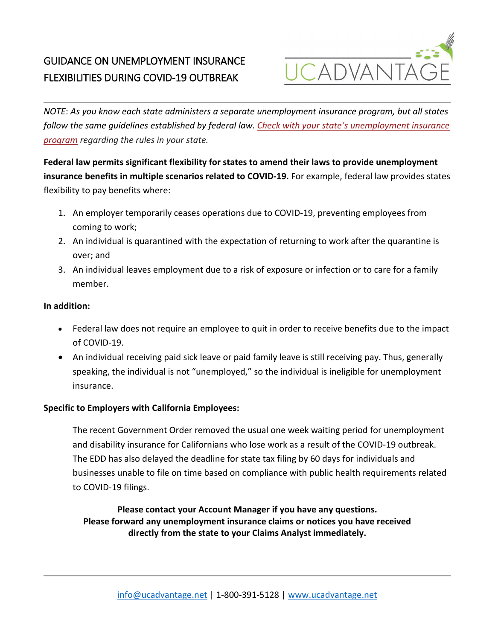# GUIDANCE ON UNEMPLOYMENT INSURANCE FLEXIBILITIES DURING COVID-19 OUTBREAK



*NOTE*: *As you know each state administers a separate unemployment insurance program, but all states follow the same guidelines established by federal law. [Check with your state's unemployment insurance](https://www.careeronestop.org/LocalHelp/UnemploymentBenefits/find-unemployment-benefits.aspx)  [program](https://www.careeronestop.org/LocalHelp/UnemploymentBenefits/find-unemployment-benefits.aspx) regarding the rules in your state.*

**Federal law permits significant flexibility for states to amend their laws to provide unemployment insurance benefits in multiple scenarios related to COVID-19.** For example, federal law provides states flexibility to pay benefits where:

- 1. An employer temporarily ceases operations due to COVID-19, preventing employees from coming to work;
- 2. An individual is quarantined with the expectation of returning to work after the quarantine is over; and
- 3. An individual leaves employment due to a risk of exposure or infection or to care for a family member.

### **In addition:**

- Federal law does not require an employee to quit in order to receive benefits due to the impact of COVID-19.
- An individual receiving paid sick leave or paid family leave is still receiving pay. Thus, generally speaking, the individual is not "unemployed," so the individual is ineligible for unemployment insurance.

### **Specific to Employers with California Employees:**

The recent Government Order removed the usual one week waiting period for unemployment and disability insurance for Californians who lose work as a result of the COVID-19 outbreak. The EDD has also delayed the deadline for state tax filing by 60 days for individuals and businesses unable to file on time based on compliance with public health requirements related to COVID-19 filings.

**Please contact your Account Manager if you have any questions. Please forward any unemployment insurance claims or notices you have received directly from the state to your Claims Analyst immediately.**